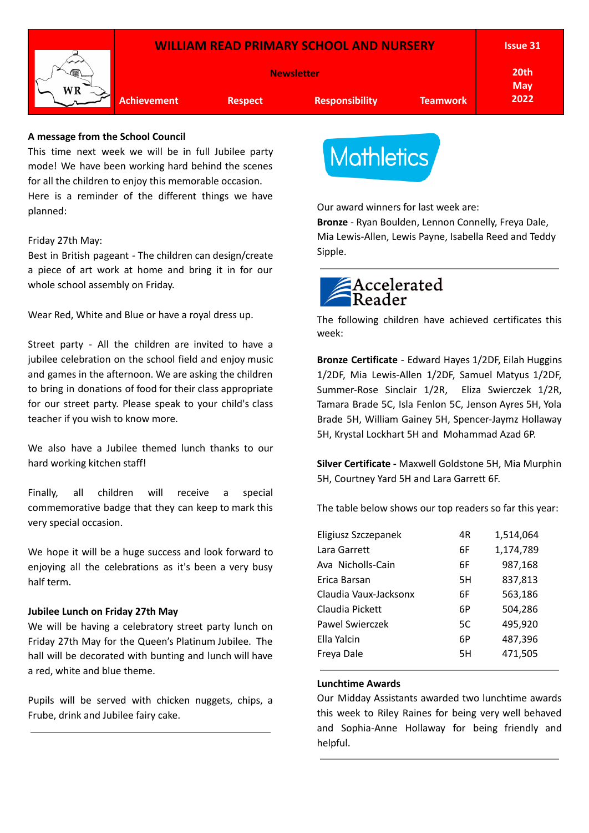

# **A message from the School Council**

This time next week we will be in full Jubilee party mode! We have been working hard behind the scenes for all the children to enjoy this memorable occasion. Here is a reminder of the different things we have planned:

### Friday 27th May:

Best in British pageant - The children can design/create a piece of art work at home and bring it in for our whole school assembly on Friday.

Wear Red, White and Blue or have a royal dress up.

Street party - All the children are invited to have a jubilee celebration on the school field and enjoy music and games in the afternoon. We are asking the children to bring in donations of food for their class appropriate for our street party. Please speak to your child's class teacher if you wish to know more.

We also have a Jubilee themed lunch thanks to our hard working kitchen staff!

Finally, all children will receive a special commemorative badge that they can keep to mark this very special occasion.

We hope it will be a huge success and look forward to enjoying all the celebrations as it's been a very busy half term.

### **Jubilee Lunch on Friday 27th May**

We will be having a celebratory street party lunch on Friday 27th May for the Queen's Platinum Jubilee. The hall will be decorated with bunting and lunch will have a red, white and blue theme.

Pupils will be served with chicken nuggets, chips, a Frube, drink and Jubilee fairy cake.



Our award winners for last week are:

**Bronze** - Ryan Boulden, Lennon Connelly, Freya Dale, Mia Lewis-Allen, Lewis Payne, Isabella Reed and Teddy Sipple.



The following children have achieved certificates this week:

**Bronze Certificate** - Edward Hayes 1/2DF, Eilah Huggins 1/2DF, Mia Lewis-Allen 1/2DF, Samuel Matyus 1/2DF, Summer-Rose Sinclair 1/2R, Eliza Swierczek 1/2R, Tamara Brade 5C, Isla Fenlon 5C, Jenson Ayres 5H, Yola Brade 5H, William Gainey 5H, Spencer-Jaymz Hollaway 5H, Krystal Lockhart 5H and Mohammad Azad 6P.

**Silver Certificate -** Maxwell Goldstone 5H, Mia Murphin 5H, Courtney Yard 5H and Lara Garrett 6F.

The table below shows our top readers so far this year:

| Eligiusz Szczepanek   | 4R | 1,514,064 |
|-----------------------|----|-----------|
| Lara Garrett          | 6F | 1,174,789 |
| Ava Nicholls-Cain     | 6F | 987,168   |
| Erica Barsan          | 5H | 837,813   |
| Claudia Vaux-Jacksonx | 6F | 563,186   |
| Claudia Pickett       | 6P | 504,286   |
| Pawel Swierczek       | 5C | 495,920   |
| Ella Yalcin           | 6P | 487,396   |
| Freya Dale            | 5H | 471,505   |

# **Lunchtime Awards**

Our Midday Assistants awarded two lunchtime awards this week to Riley Raines for being very well behaved and Sophia-Anne Hollaway for being friendly and helpful.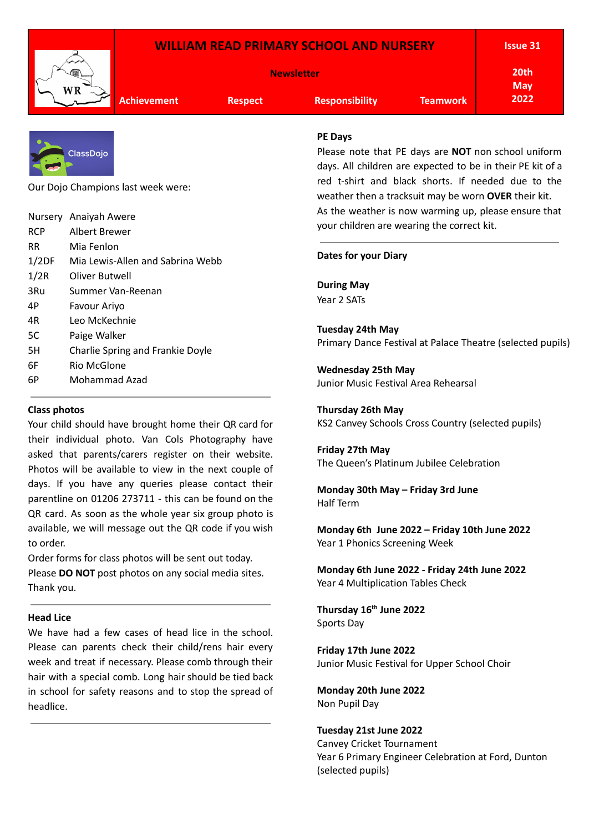|                                    |                                  |                                                                                                          |                                                                                                            | <b>WILLIAM READ PRIMARY SCHOOL AND NURSERY</b>                                 |                                                    | <b>Issue 31</b>                                            |  |  |
|------------------------------------|----------------------------------|----------------------------------------------------------------------------------------------------------|------------------------------------------------------------------------------------------------------------|--------------------------------------------------------------------------------|----------------------------------------------------|------------------------------------------------------------|--|--|
|                                    |                                  | <b>Newsletter</b>                                                                                        |                                                                                                            |                                                                                | 20th<br><b>May</b>                                 |                                                            |  |  |
|                                    | WR                               | <b>Achievement</b>                                                                                       | <b>Respect</b>                                                                                             | <b>Responsibility</b>                                                          | <b>Teamwork</b>                                    | 2022                                                       |  |  |
|                                    |                                  |                                                                                                          |                                                                                                            | <b>PE Days</b>                                                                 |                                                    |                                                            |  |  |
|                                    | <b>ClassDojo</b>                 |                                                                                                          |                                                                                                            |                                                                                |                                                    | Please note that PE days are <b>NOT</b> non school uniform |  |  |
|                                    |                                  |                                                                                                          |                                                                                                            |                                                                                |                                                    | days. All children are expected to be in their PE kit of a |  |  |
| Our Dojo Champions last week were: |                                  |                                                                                                          | red t-shirt and black shorts. If needed due to the<br>weather then a tracksuit may be worn OVER their kit. |                                                                                |                                                    |                                                            |  |  |
|                                    | Nursery Anaiyah Awere            |                                                                                                          |                                                                                                            | As the weather is now warming up, please ensure that                           |                                                    |                                                            |  |  |
| <b>RCP</b>                         | Albert Brewer                    |                                                                                                          |                                                                                                            | your children are wearing the correct kit.                                     |                                                    |                                                            |  |  |
| <b>RR</b>                          | Mia Fenlon                       |                                                                                                          |                                                                                                            |                                                                                |                                                    |                                                            |  |  |
| 1/2DF                              | Mia Lewis-Allen and Sabrina Webb |                                                                                                          |                                                                                                            | <b>Dates for your Diary</b>                                                    |                                                    |                                                            |  |  |
| 1/2R                               | <b>Oliver Butwell</b>            |                                                                                                          |                                                                                                            |                                                                                |                                                    |                                                            |  |  |
| 3Ru                                |                                  | Summer Van-Reenan                                                                                        |                                                                                                            | <b>During May</b><br>Year 2 SATs                                               |                                                    |                                                            |  |  |
| 4P                                 | Favour Ariyo                     |                                                                                                          |                                                                                                            |                                                                                |                                                    |                                                            |  |  |
| 4R                                 | Leo McKechnie                    |                                                                                                          |                                                                                                            |                                                                                |                                                    |                                                            |  |  |
| 5C                                 | Paige Walker                     |                                                                                                          |                                                                                                            | Tuesday 24th May<br>Primary Dance Festival at Palace Theatre (selected pupils) |                                                    |                                                            |  |  |
| 5H                                 |                                  | Charlie Spring and Frankie Doyle                                                                         |                                                                                                            |                                                                                |                                                    |                                                            |  |  |
| 6F                                 | <b>Rio McGlone</b>               |                                                                                                          |                                                                                                            | <b>Wednesday 25th May</b>                                                      |                                                    |                                                            |  |  |
| 6P                                 | Mohammad Azad                    |                                                                                                          | Junior Music Festival Area Rehearsal                                                                       |                                                                                |                                                    |                                                            |  |  |
| <b>Class photos</b>                |                                  |                                                                                                          | <b>Thursday 26th May</b>                                                                                   |                                                                                |                                                    |                                                            |  |  |
|                                    |                                  | Your child should have brought home their QR card for                                                    |                                                                                                            |                                                                                | KS2 Canvey Schools Cross Country (selected pupils) |                                                            |  |  |
|                                    |                                  | their individual photo. Van Cols Photography have<br>acked that naronte/carare register on their website |                                                                                                            | Friday 27th May                                                                |                                                    |                                                            |  |  |

The Queen's Platinum Jubilee Celebration

**Monday 30th May – Friday 3rd June** Half Term

**Monday 6th June 2022 – Friday 10th June 2022** Year 1 Phonics Screening Week

**Monday 6th June 2022 - Friday 24th June 2022** Year 4 Multiplication Tables Check

**Thursday 16 th June 2022** Sports Day

**Friday 17th June 2022** Junior Music Festival for Upper School Choir

**Monday 20th June 2022** Non Pupil Day

**Tuesday 21st June 2022** Canvey Cricket Tournament Year 6 Primary Engineer Celebration at Ford, Dunton (selected pupils)

**Head Lice**

Thank you.

to order.

We have had a few cases of head lice in the school. Please can parents check their child/rens hair every week and treat if necessary. Please comb through their hair with a special comb. Long hair should be tied back in school for safety reasons and to stop the spread of headlice.

asked that parents/carers register on their website. Photos will be available to view in the next couple of days. If you have any queries please contact their parentline on 01206 273711 - this can be found on the QR card. As soon as the whole year six group photo is available, we will message out the QR code if you wish

Order forms for class photos will be sent out today. Please **DO NOT** post photos on any social media sites.